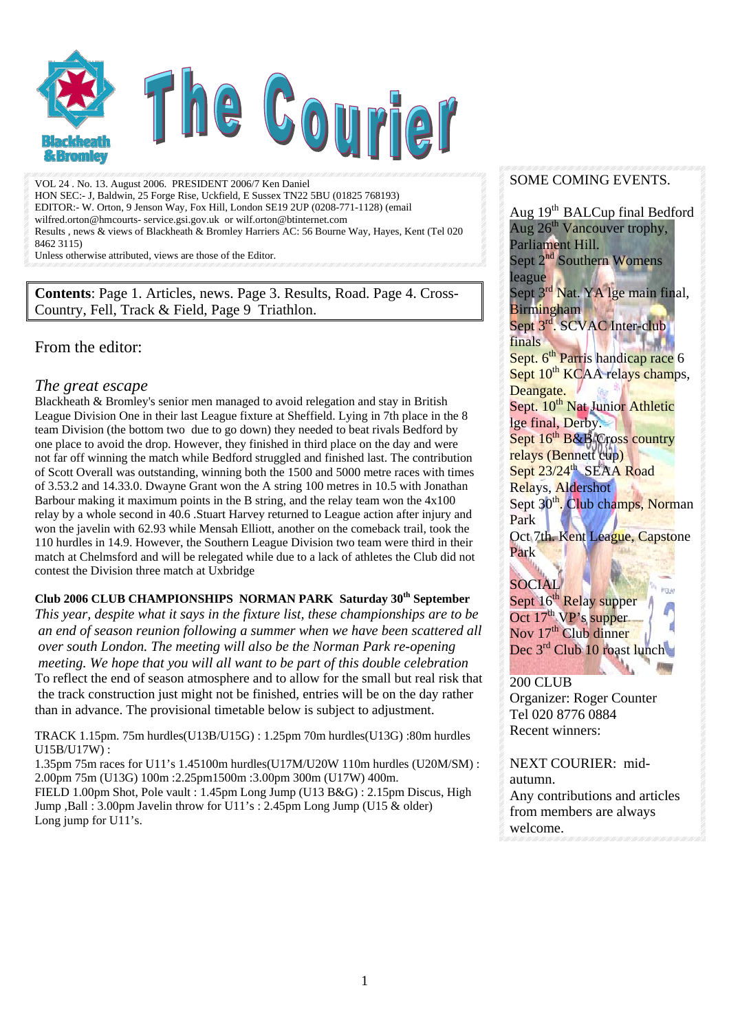

VOL 24 . No. 13. August 2006. PRESIDENT 2006/7 Ken Daniel HON SEC:- J, Baldwin, 25 Forge Rise, Uckfield, E Sussex TN22 5BU (01825 768193) EDITOR:- W. Orton, 9 Jenson Way, Fox Hill, London SE19 2UP (0208-771-1128) (email wilfred.orton@hmcourts- service.gsi.gov.uk or wilf.orton@btinternet.com Results , news & views of Blackheath & Bromley Harriers AC: 56 Bourne Way, Hayes, Kent (Tel 020 8462 3115)

Unless otherwise attributed, views are those of the Editor.

**Contents**: Page 1. Articles, news. Page 3. Results, Road. Page 4. Cross-Country, Fell, Track & Field, Page 9 Triathlon.

## From the editor:

### *The great escape*

Blackheath & Bromley's senior men managed to avoid relegation and stay in British League Division One in their last League fixture at Sheffield. Lying in 7th place in the 8 team Division (the bottom two due to go down) they needed to beat rivals Bedford by one place to avoid the drop. However, they finished in third place on the day and were not far off winning the match while Bedford struggled and finished last. The contribution of Scott Overall was outstanding, winning both the 1500 and 5000 metre races with times of 3.53.2 and 14.33.0. Dwayne Grant won the A string 100 metres in 10.5 with Jonathan Barbour making it maximum points in the B string, and the relay team won the 4x100 relay by a whole second in 40.6 .Stuart Harvey returned to League action after injury and won the javelin with 62.93 while Mensah Elliott, another on the comeback trail, took the 110 hurdles in 14.9. However, the Southern League Division two team were third in their match at Chelmsford and will be relegated while due to a lack of athletes the Club did not contest the Division three match at Uxbridge

#### **Club 2006 CLUB CHAMPIONSHIPS NORMAN PARK Saturday 30th September**

*This year, despite what it says in the fixture list, these championships are to be an end of season reunion following a summer when we have been scattered all over south London. The meeting will also be the Norman Park re-opening meeting. We hope that you will all want to be part of this double celebration*  To reflect the end of season atmosphere and to allow for the small but real risk that the track construction just might not be finished, entries will be on the day rather than in advance. The provisional timetable below is subject to adjustment.

TRACK 1.15pm. 75m hurdles(U13B/U15G) : 1.25pm 70m hurdles(U13G) :80m hurdles U15B/U17W) :

1.35pm 75m races for U11's 1.45100m hurdles(U17M/U20W 110m hurdles (U20M/SM) : 2.00pm 75m (U13G) 100m :2.25pm1500m :3.00pm 300m (U17W) 400m.

FIELD 1.00pm Shot, Pole vault : 1.45pm Long Jump (U13 B&G) : 2.15pm Discus, High Jump ,Ball : 3.00pm Javelin throw for U11's : 2.45pm Long Jump (U15 & older) Long jump for U11's.

#### SOME COMING EVENTS.

Aug 19<sup>th</sup> BALCup final Bedford Aug  $26<sup>th</sup>$  Vancouver trophy, Parliament Hill. Sept 2<sup>nd</sup> Southern Womens league Sept 3<sup>rd</sup> Nat. YA lge main final, **Birmingham** Sept 3<sup>rd</sup>. SCVAC Inter-club finals and the state of the state of the state of the state of the state of the state of the state of the state of the state of the state of the state of the state of the state of the state of the state of the state of the Sept. 6<sup>th</sup> Parris handicap race 6 Sept 10<sup>th</sup> KCAA relays champs, Deangate. Sept. 10<sup>th</sup> Nat Junior Athletic lge final, Derby. Sept  $16^{th}$  B&B Cross country relays (Bennett cup) Sept 23/24<sup>th</sup> SEAA Road Relays, Aldershot Sept 30<sup>th</sup>. Club champs, Norman Park Oct 7th. Kent League, Capstone Park

## **SOCIAL**

Sept 16<sup>th</sup> Relay supper Oct 17<sup>th</sup> VP's supper Nov 17<sup>th</sup> Club dinner Dec 3<sup>rd</sup> Club 10 roast lunch

#### 200 CLUB

Organizer: Roger Counter Tel 020 8776 0884 Recent winners:

NEXT COURIER: midautumn.

Any contributions and articles from members are always welcome.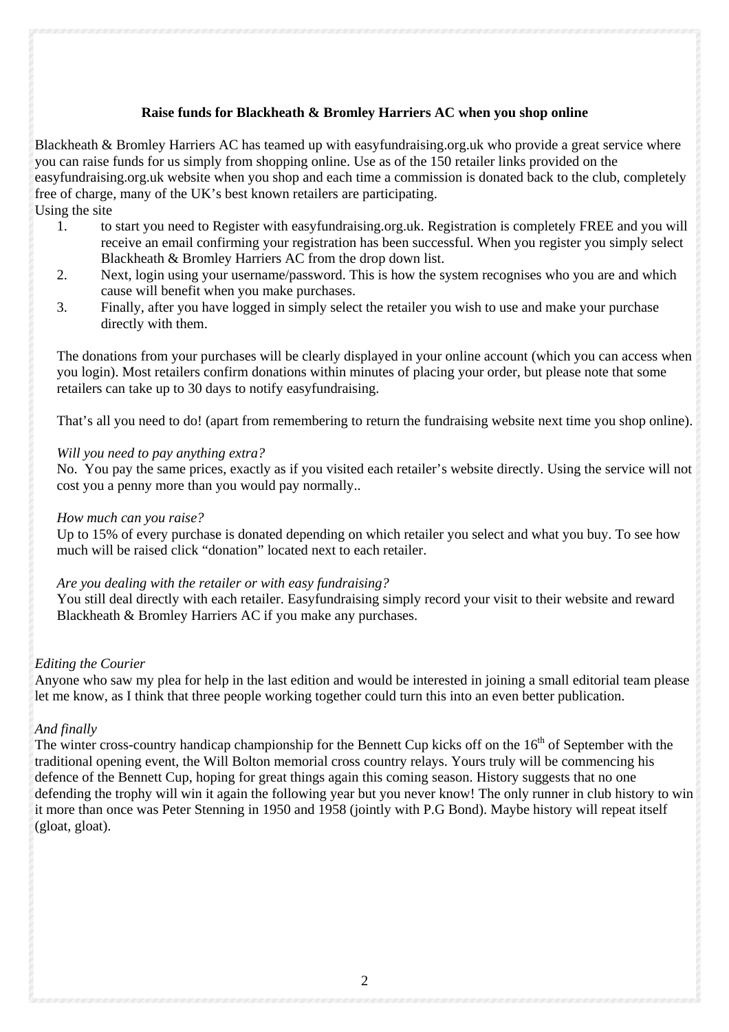#### **Raise funds for Blackheath & Bromley Harriers AC when you shop online**

Blackheath & Bromley Harriers AC has teamed up with easyfundraising.org.uk who provide a great service where you can raise funds for us simply from shopping online. Use as of the 150 retailer links provided on the easyfundraising.org.uk website when you shop and each time a commission is donated back to the club, completely free of charge, many of the UK's best known retailers are participating. Using the site

- 1. to start you need to Register with easyfundraising.org.uk. Registration is completely FREE and you will receive an email confirming your registration has been successful. When you register you simply select Blackheath & Bromley Harriers AC from the drop down list.
- 2. Next, login using your username/password. This is how the system recognises who you are and which cause will benefit when you make purchases.
- 3. Finally, after you have logged in simply select the retailer you wish to use and make your purchase directly with them.

The donations from your purchases will be clearly displayed in your online account (which you can access when you login). Most retailers confirm donations within minutes of placing your order, but please note that some retailers can take up to 30 days to notify easyfundraising.

That's all you need to do! (apart from remembering to return the fundraising website next time you shop online).

#### *Will you need to pay anything extra?*

No. You pay the same prices, exactly as if you visited each retailer's website directly. Using the service will not cost you a penny more than you would pay normally..

#### *How much can you raise?*

Up to 15% of every purchase is donated depending on which retailer you select and what you buy. To see how much will be raised click "donation" located next to each retailer.

#### *Are you dealing with the retailer or with easy fundraising?*

You still deal directly with each retailer. Easyfundraising simply record your visit to their website and reward Blackheath & Bromley Harriers AC if you make any purchases.

#### *Editing the Courier*

Anyone who saw my plea for help in the last edition and would be interested in joining a small editorial team please let me know, as I think that three people working together could turn this into an even better publication.

#### *And finally*

The winter cross-country handicap championship for the Bennett Cup kicks off on the  $16<sup>th</sup>$  of September with the traditional opening event, the Will Bolton memorial cross country relays. Yours truly will be commencing his defence of the Bennett Cup, hoping for great things again this coming season. History suggests that no one defending the trophy will win it again the following year but you never know! The only runner in club history to win it more than once was Peter Stenning in 1950 and 1958 (jointly with P.G Bond). Maybe history will repeat itself (gloat, gloat).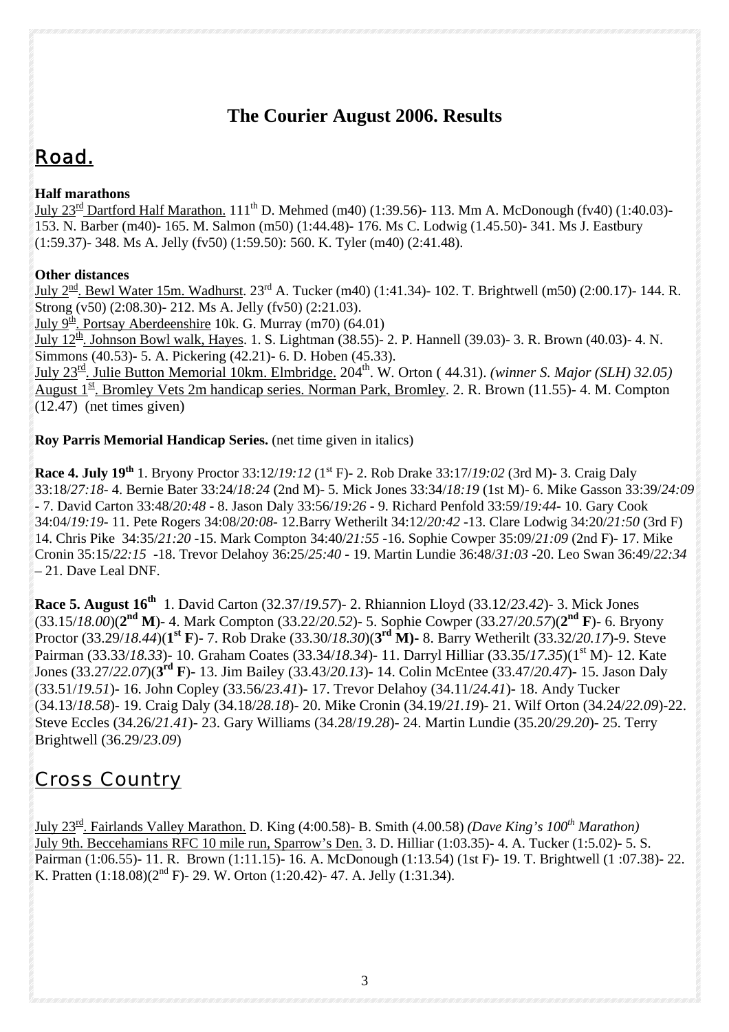## **The Courier August 2006. Results**

# *Road.*

## **Half marathons**

July 23<sup>rd</sup> Dartford Half Marathon. 111<sup>th</sup> D. Mehmed (m40) (1:39.56)- 113. Mm A. McDonough (fv40) (1:40.03)-153. N. Barber (m40)- 165. M. Salmon (m50) (1:44.48)- 176. Ms C. Lodwig (1.45.50)- 341. Ms J. Eastbury (1:59.37)- 348. Ms A. Jelly (fv50) (1:59.50): 560. K. Tyler (m40) (2:41.48).

## **Other distances**

July 2<sup>nd</sup>. Bewl Water 15m. Wadhurst. 23<sup>rd</sup> A. Tucker (m40) (1:41.34)- 102. T. Brightwell (m50) (2:00.17)- 144. R. Strong (v50) (2:08.30)- 212. Ms A. Jelly (fv50) (2:21.03).

July  $9^{\underline{th}}$ . Portsay Aberdeenshire 10k. G. Murray (m70) (64.01)

July 12<sup>th</sup>. Johnson Bowl walk, Hayes. 1. S. Lightman (38.55)- 2. P. Hannell (39.03)- 3. R. Brown (40.03)- 4. N. Simmons (40.53)- 5. A. Pickering (42.21)- 6. D. Hoben (45.33).

July 23rd. Julie Button Memorial 10km. Elmbridge. 204th. W. Orton ( 44.31). *(winner S. Major (SLH) 32.05)*  August  $1^{\underline{\text{st}}}$ . Bromley Vets 2m handicap series. Norman Park, Bromley. 2. R. Brown (11.55)-4. M. Compton (12.47) (net times given)

## **Roy Parris Memorial Handicap Series.** (net time given in italics)

**Race 4. July 19th** 1. Bryony Proctor 33:12/*19:12* (1st F)- 2. Rob Drake 33:17/*19:02* (3rd M)- 3. Craig Daly 33:18/*27:18*- 4. Bernie Bater 33:24/*18:24* (2nd M)- 5. Mick Jones 33:34/*18:19* (1st M)- 6. Mike Gasson 33:39/*24:09* - 7. David Carton 33:48/*20:48* - 8. Jason Daly 33:56/*19:26* - 9. Richard Penfold 33:59/*19:44*- 10. Gary Cook 34:04/*19:19*- 11. Pete Rogers 34:08/*20:08*- 12.Barry Wetherilt 34:12/*20:42* -13. Clare Lodwig 34:20/*21:50* (3rd F) 14. Chris Pike 34:35/*21:20* -15. Mark Compton 34:40/*21:55* -16. Sophie Cowper 35:09/*21:09* (2nd F)- 17. Mike Cronin 35:15/*22:15* -18. Trevor Delahoy 36:25/*25:40* - 19. Martin Lundie 36:48/*31:03* -20. Leo Swan 36:49/*22:34* – 21. Dave Leal DNF.

**Race 5. August 16<sup>th</sup> 1.** David Carton (32.37/19.57)- 2. Rhiannion Lloyd (33.12/23.42)- 3. Mick Jones (33.15/*18.00*)(**2nd M**)- 4. Mark Compton (33.22/*20.52*)- 5. Sophie Cowper (33.27/*20.57*)(**2nd F**)- 6. Bryony Proctor (33.29/*18.44*)(**1st F**)- 7. Rob Drake (33.30/*18.30*)(**3rd M)-** 8. Barry Wetherilt (33.32/*20.17*)-9. Steve Pairman (33.33/*18.33*)- 10. Graham Coates (33.34/*18.34*)- 11. Darryl Hilliar (33.35/*17.35*)(1st M)- 12. Kate Jones (33.27/*22.07*)(**3rd F**)- 13. Jim Bailey (33.43/*20.13*)- 14. Colin McEntee (33.47/*20.47*)- 15. Jason Daly (33.51/*19.51*)- 16. John Copley (33.56/*23.41*)- 17. Trevor Delahoy (34.11/*24.41*)- 18. Andy Tucker (34.13/*18.58*)- 19. Craig Daly (34.18/*28.18*)- 20. Mike Cronin (34.19/*21.19*)- 21. Wilf Orton (34.24/*22.09*)-22. Steve Eccles (34.26/*21.41*)- 23. Gary Williams (34.28/*19.28*)- 24. Martin Lundie (35.20/*29.20*)- 25. Terry Brightwell (36.29/*23.09*)

## *Cross Country*

July 23rd. Fairlands Valley Marathon. D. King (4:00.58)- B. Smith (4.00.58) *(Dave King's 100th Marathon)* July 9th. Beccehamians RFC 10 mile run, Sparrow's Den. 3. D. Hilliar (1:03.35)- 4. A. Tucker (1:5.02)- 5. S. Pairman (1:06.55)- 11. R. Brown (1:11.15)- 16. A. McDonough (1:13.54) (1st F)- 19. T. Brightwell (1 :07.38)- 22. K. Pratten  $(1:18.08)(2<sup>nd</sup> F)$ - 29. W. Orton  $(1:20.42)$ - 47. A. Jelly  $(1:31.34)$ .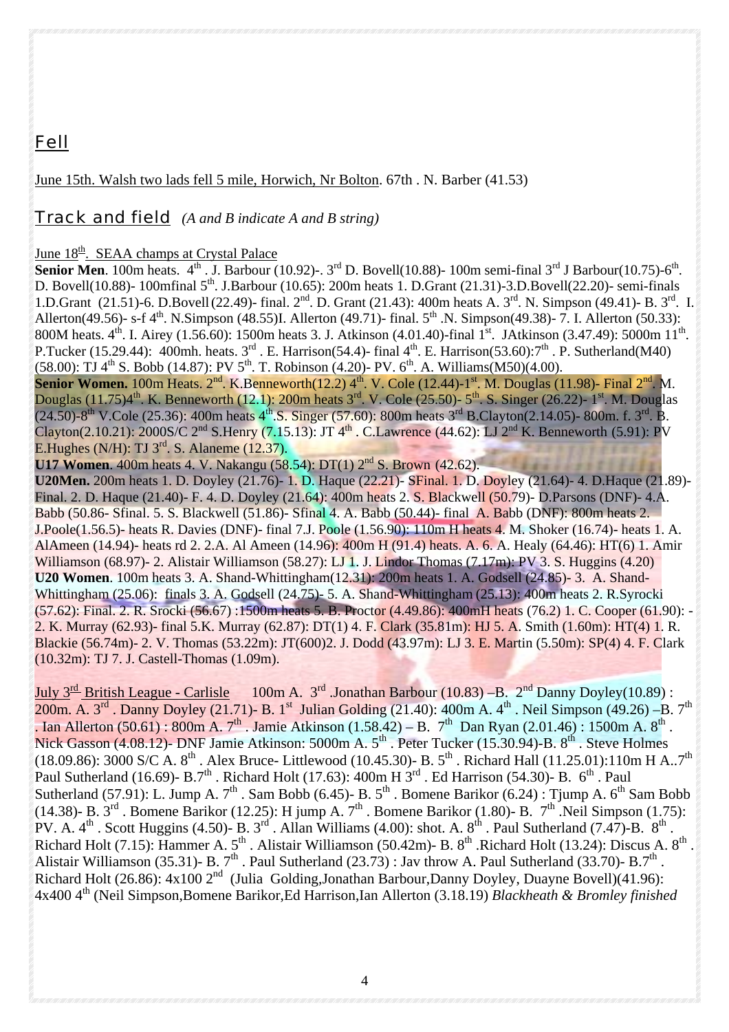## *Fell*

June 15th. Walsh two lads fell 5 mile, Horwich, Nr Bolton. 67th . N. Barber (41.53)

## *Track and field (A and B indicate A and B string)*

#### June  $18<sup>th</sup>$ . SEAA champs at Crystal Palace

**Senior Men**. 100m heats.  $4^{\text{th}}$ . J. Barbour (10.92)-. 3<sup>rd</sup> D. Bovell(10.88)- 100m semi-final 3<sup>rd</sup> J Barbour(10.75)-6<sup>th</sup>. D. Bovell(10.88)- 100mfinal 5<sup>th</sup>. J.Barbour (10.65): 200m heats 1. D.Grant (21.31)-3.D.Bovell(22.20)- semi-finals 1.D.Grant (21.51)-6. D.Bovell (22.49)- final. 2nd. D. Grant (21.43): 400m heats A. 3rd. N. Simpson (49.41)- B. 3rd. I. Allerton(49.56)- s-f  $4^{th}$ . N.Simpson (48.55)I. Allerton (49.71)- final.  $5^{th}$ .N. Simpson(49.38)- 7. I. Allerton (50.33): 800M heats. 4<sup>th</sup>. I. Airey (1.56.60): 1500m heats 3. J. Atkinson (4.01.40)-final 1<sup>st</sup>. JAtkinson (3.47.49): 5000m 11<sup>th</sup>. P.Tucker (15.29.44): 400mh. heats.  $3^{rd}$ . E. Harrison(54.4)- final  $4^{th}$ . E. Harrison(53.60): $7^{th}$ . P. Sutherland(M40) (58.00): TJ  $4^{th}$  S. Bobb (14.87): PV  $5^{th}$ . T. Robinson (4.20)- PV.  $6^{th}$ . A. Williams(M50)(4.00).

**Senior Women.** 100m Heats.  $2^{nd}$ . K.Benneworth(12.2)  $4^{th}$ . V. Cole (12.44)-1<sup>st</sup>. M. Douglas (11.98)- Final  $2^{nd}$ . M. Douglas  $(11.75)4^{\text{th}}$ . K. Benneworth  $(12.1)$ : 200m heats  $3^{\text{rd}}$ . V. Cole  $(25.50)$ -  $5^{\text{th}}$ . S. Singer  $(26.22)$ -  $1^{\text{st}}$ . M. Douglas  $(24.50)-8$ <sup>th</sup> V.Cole (25.36): 400m heats 4<sup>th</sup>.S. Singer (57.60): 800m heats 3<sup>rd</sup> B.Clayton(2.14.05)- 800m. f. 3<sup>rd</sup>. B. Clayton(2.10.21): 2000S/C 2<sup>nd</sup> S.Henry (7.15.13): JT  $4^{\text{th}}$ . C.Lawrence (44.62): LJ 2<sup>nd</sup> K. Benneworth (5.91): PV E. Hughes (N/H): TJ  $3<sup>rd</sup>$ . S. Alaneme (12.37).

**U17 Women.** 400m heats 4. V. Nakangu (58.54): DT(1) 2<sup>nd</sup> S. Brown (42.62).

**U20Men.** 200m heats 1. D. Doyley (21.76)- 1. D. Haque (22.21)- SFinal. 1. D. Doyley (21.64)- 4. D.Haque (21.89)- Final. 2. D. Haque (21.40)- F. 4. D. Doyley (21.64): 400m heats 2. S. Blackwell (50.79)- D.Parsons (DNF)- 4.A. Babb (50.86- Sfinal. 5. S. Blackwell (51.86)- Sfinal 4. A. Babb (50.44)- final A. Babb (DNF): 800m heats 2. J.Poole(1.56.5)- heats R. Davies (DNF)- final 7.J. Poole (1.56.90): 110m H heats 4. M. Shoker (16.74)- heats 1. A. AlAmeen (14.94)- heats rd 2. 2.A. Al Ameen (14.96): 400m H (91.4) heats. A. 6. A. Healy (64.46): HT(6) 1. Amir Williamson (68.97)- 2. Alistair Williamson (58.27): LJ 1. J. Lindor Thomas (7.17m): PV 3. S. Huggins (4.20) **U20 Women**. 100m heats 3. A. Shand-Whittingham(12.31): 200m heats 1. A. Godsell (24.85)- 3. A. Shand-Whittingham (25.06): finals 3. A. Godsell (24.75)- 5. A. Shand-Whittingham (25.13): 400m heats 2. R.Syrocki (57.62): Final. 2. R. Srocki (56.67) :1500m heats 5. B. Proctor (4.49.86): 400mH heats (76.2) 1. C. Cooper (61.90): - 2. K. Murray (62.93)- final 5.K. Murray (62.87): DT(1) 4. F. Clark (35.81m): HJ 5. A. Smith (1.60m): HT(4) 1. R. Blackie (56.74m)- 2. V. Thomas (53.22m): JT(600)2. J. Dodd (43.97m): LJ 3. E. Martin (5.50m): SP(4) 4. F. Clark (10.32m): TJ 7. J. Castell-Thomas (1.09m).

July  $3^{\text{rd}}$  British League - Carlisle 100m A.  $3^{\text{rd}}$  .Jonathan Barbour (10.83) –B.  $2^{\text{nd}}$  Danny Doyley(10.89) : 200m. A. 3<sup>rd</sup> . Danny Doyley (21.71)- B. 1<sup>st</sup> Julian Golding (21.40): 400m A. 4<sup>th</sup> . Neil Simpson (49.26) –B. 7<sup>th</sup> . Ian Allerton (50.61) : 800m A. 7<sup>th</sup> . Jamie Atkinson (1.58.42) – B. 7<sup>th</sup> Dan Ryan (2.01.46) : 1500m A. 8<sup>th</sup>. Nick Gasson (4.08.12)- DNF Jamie Atkinson: 5000m A. 5<sup>th</sup> . Peter Tucker (15.30.94)-B. 8<sup>th</sup> . Steve Holmes (18.09.86): 3000 S/C A. 8<sup>th</sup> . Alex Bruce- Littlewood (10.45.30)- B. 5<sup>th</sup> . Richard Hall (11.25.01):110m H A..7<sup>th</sup> Paul Sutherland (16.69)- B.7<sup>th</sup>. Richard Holt (17.63): 400m H 3<sup>rd</sup>. Ed Harrison (54.30)- B. 6<sup>th</sup>. Paul Sutherland (57.91): L. Jump A.  $7<sup>th</sup>$ . Sam Bobb (6.45)- B.  $5<sup>th</sup>$ . Bomene Barikor (6.24): Tjump A. 6<sup>th</sup> Sam Bobb (14.38)- B.  $3^{rd}$ . Bomene Barikor (12.25): H jump A.  $7^{th}$ . Bomene Barikor (1.80)- B.  $7^{th}$ . Neil Simpson (1.75): PV. A.  $4^{\text{th}}$  . Scott Huggins (4.50)- B. 3<sup>rd</sup> . Allan Williams (4.00): shot. A.  $8^{\text{th}}$  . Paul Sutherland (7.47)-B.  $8^{\text{th}}$  . Richard Holt (7.15): Hammer A.  $5<sup>th</sup>$ . Alistair Williamson (50.42m)- B.  $8<sup>th</sup>$ . Richard Holt (13.24): Discus A.  $8<sup>th</sup>$ . Alistair Williamson (35.31)- B.  $7<sup>th</sup>$ . Paul Sutherland (23.73) : Jav throw A. Paul Sutherland (33.70)- B.7<sup>th</sup>. Richard Holt (26.86):  $4x100 \, 2^{nd}$  (Julia Golding, Jonathan Barbour, Danny Doyley, Duayne Bovell)(41.96): 4x400 4th (Neil Simpson,Bomene Barikor,Ed Harrison,Ian Allerton (3.18.19) *Blackheath & Bromley finished*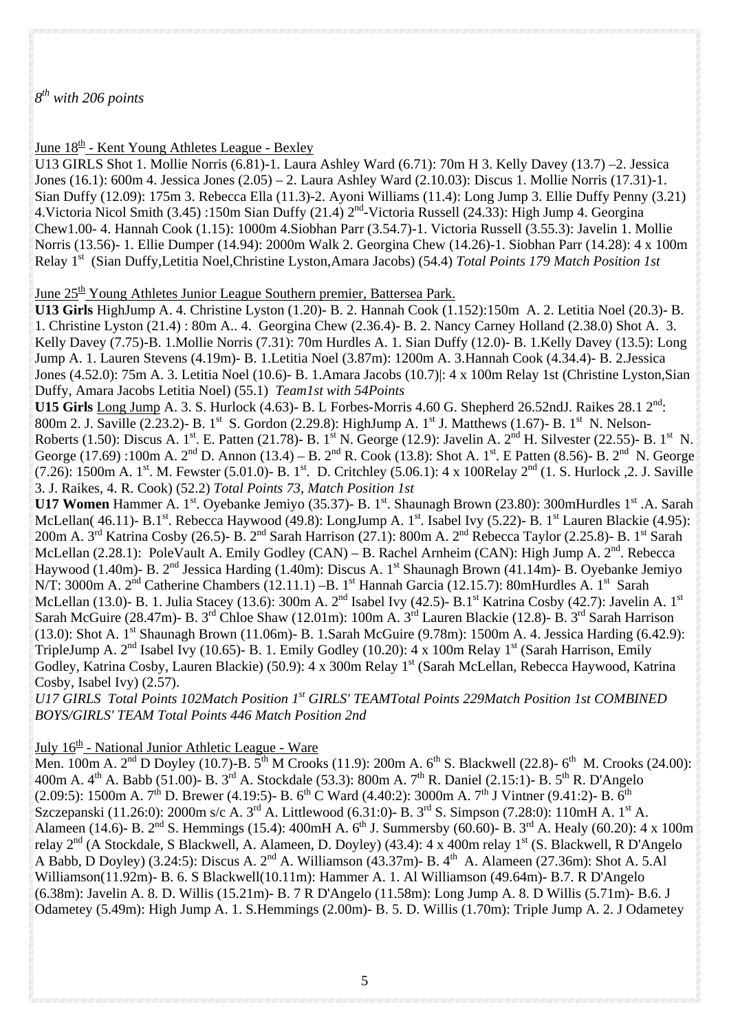### *8th with 206 points*

June  $18<sup>th</sup>$  - Kent Young Athletes League - Bexley

U13 GIRLS Shot 1. Mollie Norris (6.81)-1. Laura Ashley Ward (6.71): 70m H 3. Kelly Davey (13.7) –2. Jessica Jones (16.1): 600m 4. Jessica Jones (2.05) – 2. Laura Ashley Ward (2.10.03): Discus 1. Mollie Norris (17.31)-1. Sian Duffy (12.09): 175m 3. Rebecca Ella (11.3)-2. Ayoni Williams (11.4): Long Jump 3. Ellie Duffy Penny (3.21) 4.Victoria Nicol Smith (3.45) :150m Sian Duffy (21.4) 2nd-Victoria Russell (24.33): High Jump 4. Georgina Chew1.00- 4. Hannah Cook (1.15): 1000m 4.Siobhan Parr (3.54.7)-1. Victoria Russell (3.55.3): Javelin 1. Mollie Norris (13.56)- 1. Ellie Dumper (14.94): 2000m Walk 2. Georgina Chew (14.26)-1. Siobhan Parr (14.28): 4 x 100m Relay 1st (Sian Duffy,Letitia Noel,Christine Lyston,Amara Jacobs) (54.4) *Total Points 179 Match Position 1st* 

June  $25<sup>th</sup>$  Young Athletes Junior League Southern premier, Battersea Park.

**U13 Girls** HighJump A. 4. Christine Lyston (1.20)- B. 2. Hannah Cook (1.152):150m A. 2. Letitia Noel (20.3)- B. 1. Christine Lyston (21.4) : 80m A.. 4. Georgina Chew (2.36.4)- B. 2. Nancy Carney Holland (2.38.0) Shot A. 3. Kelly Davey (7.75)-B. 1.Mollie Norris (7.31): 70m Hurdles A. 1. Sian Duffy (12.0)- B. 1.Kelly Davey (13.5): Long Jump A. 1. Lauren Stevens (4.19m)- B. 1.Letitia Noel (3.87m): 1200m A. 3.Hannah Cook (4.34.4)- B. 2.Jessica Jones (4.52.0): 75m A. 3. Letitia Noel (10.6)- B. 1.Amara Jacobs (10.7)|: 4 x 100m Relay 1st (Christine Lyston,Sian Duffy, Amara Jacobs Letitia Noel) (55.1) *Team1st with 54Points* 

**U15 Girls** Long Jump A. 3. S. Hurlock (4.63)- B. L Forbes-Morris 4.60 G. Shepherd 26.52ndJ. Raikes 28.1 2nd: 800m 2. J. Saville (2.23.2)- B. 1<sup>st</sup> S. Gordon (2.29.8): HighJump A. 1<sup>st</sup> J. Matthews (1.67)- B. 1<sup>st</sup> N. Nelson-Roberts (1.50): Discus A. 1<sup>st</sup>. E. Patten (21.78)- B. 1<sup>st</sup> N. George (12.9): Javelin A. 2<sup>nd</sup> H. Silvester (22.55)- B. 1<sup>st</sup> N. George (17.69) :100m A.  $2^{nd}$  D. Annon (13.4) – B.  $2^{nd}$  R. Cook (13.8): Shot A.  $1^{st}$ . E Patten (8.56)- B.  $2^{nd}$  N. George (7.26): 1500m A. 1st. M. Fewster (5.01.0)- B. 1st. D. Critchley (5.06.1): 4 x 100Relay  $2^{nd}$  (1. S. Hurlock ,2. J. Saville 3. J. Raikes, 4. R. Cook) (52.2) *Total Points 73, Match Position 1st*

**U17 Women** Hammer A. 1<sup>st</sup>. Oyebanke Jemiyo (35.37)- B. 1<sup>st</sup>. Shaunagh Brown (23.80): 300mHurdles 1<sup>st</sup>. A. Sarah McLellan( 46.11)- B.1st. Rebecca Haywood (49.8): LongJump A. 1st. Isabel Ivy (5.22)- B. 1st Lauren Blackie (4.95): 200m A. 3<sup>rd</sup> Katrina Cosby (26.5)- B. 2<sup>nd</sup> Sarah Harrison (27.1): 800m A. 2<sup>nd</sup> Rebecca Taylor (2.25.8)- B. 1<sup>st</sup> Sarah McLellan (2.28.1): PoleVault A. Emily Godley (CAN) – B. Rachel Arnheim (CAN): High Jump A.  $2^{nd}$ . Rebecca Haywood (1.40m)- B. 2<sup>nd</sup> Jessica Harding (1.40m): Discus A. 1<sup>st</sup> Shaunagh Brown (41.14m)- B. Oyebanke Jemiyo N/T: 3000m A. 2<sup>nd</sup> Catherine Chambers (12.11.1) –B. 1<sup>st</sup> Hannah Garcia (12.15.7): 80mHurdles A. 1<sup>st</sup> Sarah McLellan (13.0)- B. 1. Julia Stacey (13.6):  $300m$  A.  $2<sup>nd</sup>$  Isabel Ivy (42.5)- B.1<sup>st</sup> Katrina Cosby (42.7): Javelin A. 1<sup>st</sup> Sarah McGuire (28.47m)- B. 3<sup>rd</sup> Chloe Shaw (12.01m): 100m A. 3<sup>rd</sup> Lauren Blackie (12.8)- B. 3<sup>rd</sup> Sarah Harrison (13.0): Shot A. 1st Shaunagh Brown (11.06m)- B. 1.Sarah McGuire (9.78m): 1500m A. 4. Jessica Harding (6.42.9): TripleJump A.  $2<sup>nd</sup>$  Isabel Ivy (10.65)- B. 1. Emily Godley (10.20): 4 x 100m Relay 1<sup>st</sup> (Sarah Harrison, Emily Godley, Katrina Cosby, Lauren Blackie) (50.9): 4 x 300m Relay 1st (Sarah McLellan, Rebecca Haywood, Katrina Cosby, Isabel Ivy) (2.57).

*U17 GIRLS Total Points 102Match Position 1st GIRLS' TEAMTotal Points 229Match Position 1st COMBINED BOYS/GIRLS' TEAM Total Points 446 Match Position 2nd* 

## July 16<sup>th</sup> - National Junior Athletic League - Ware

Men. 100m A.  $2<sup>nd</sup>$  D Doyley (10.7)-B.  $5<sup>th</sup>$  M Crooks (11.9): 200m A.  $6<sup>th</sup>$  S. Blackwell (22.8)-  $6<sup>th</sup>$  M. Crooks (24.00): 400m A. 4<sup>th</sup> A. Babb (51.00)- B. 3<sup>rd</sup> A. Stockdale (53.3): 800m A. 7<sup>th</sup> R. Daniel (2.15:1)- B. 5<sup>th</sup> R. D'Angelo (2.09:5): 1500m A. 7<sup>th</sup> D. Brewer (4.19:5)- B. 6<sup>th</sup> C Ward (4.40:2): 3000m A. 7<sup>th</sup> J Vintner (9.41:2)- B. 6<sup>th</sup> Szczepanski (11.26:0): 2000m s/c A. 3<sup>rd</sup> A. Littlewood (6.31:0)- B. 3<sup>rd</sup> S. Simpson (7.28:0): 110mH A. 1<sup>st</sup> A. Alameen (14.6)- B. 2<sup>nd</sup> S. Hemmings (15.4): 400mH A. 6<sup>th</sup> J. Summersby (60.60)- B. 3<sup>rd</sup> A. Healy (60.20): 4 x 100m relay 2<sup>nd</sup> (A Stockdale, S Blackwell, A. Alameen, D. Doyley) (43.4): 4 x 400m relay 1<sup>st</sup> (S. Blackwell, R D'Angelo A Babb, D Doyley) (3.24:5): Discus A.  $2<sup>nd</sup>$  A. Williamson (43.37m)- B.  $4<sup>th</sup>$  A. Alameen (27.36m): Shot A. 5.Al Williamson(11.92m)- B. 6. S Blackwell(10.11m): Hammer A. 1. Al Williamson (49.64m)- B.7. R D'Angelo (6.38m): Javelin A. 8. D. Willis (15.21m)- B. 7 R D'Angelo (11.58m): Long Jump A. 8. D Willis (5.71m)- B.6. J Odametey (5.49m): High Jump A. 1. S.Hemmings (2.00m)- B. 5. D. Willis (1.70m): Triple Jump A. 2. J Odametey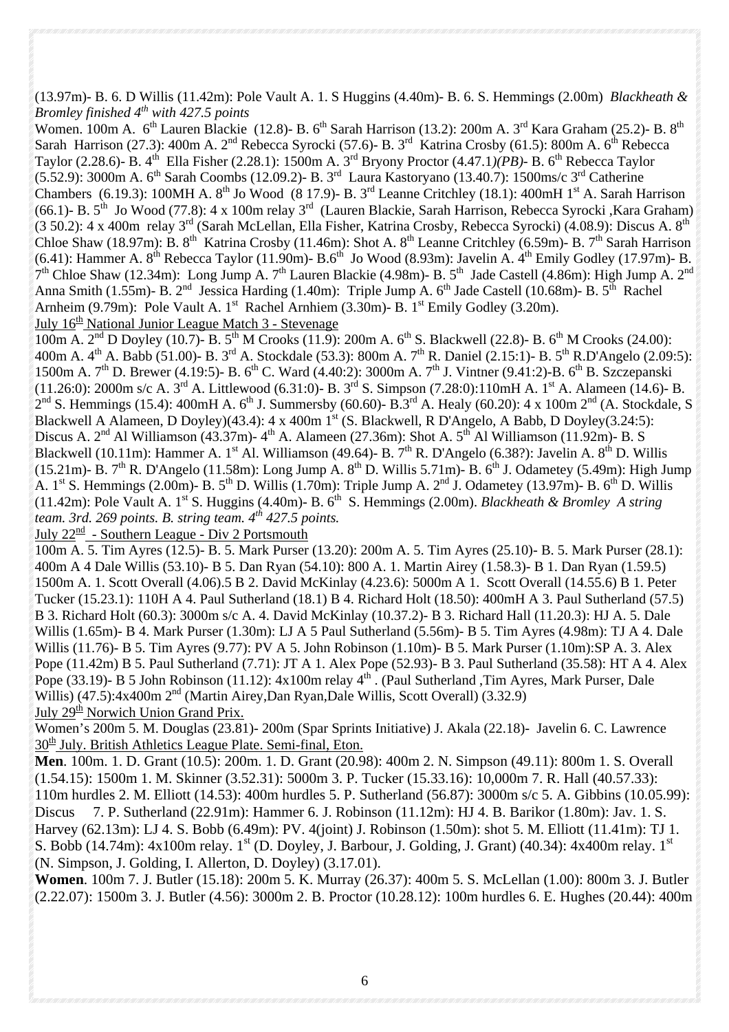(13.97m)- B. 6. D Willis (11.42m): Pole Vault A. 1. S Huggins (4.40m)- B. 6. S. Hemmings (2.00m) *Blackheath & Bromley finished 4th with 427.5 points*

Women. 100m A. 6<sup>th</sup> Lauren Blackie (12.8)- B. 6<sup>th</sup> Sarah Harrison (13.2): 200m A. 3<sup>rd</sup> Kara Graham (25.2)- B. 8<sup>th</sup> Sarah Harrison (27.3): 400m A. 2<sup>nd</sup> Rebecca Syrocki (57.6)- B. 3<sup>rd</sup> Katrina Crosby (61.5): 800m A. 6<sup>th</sup> Rebecca Taylor (2.28.6)- B. 4th Ella Fisher (2.28.1): 1500m A. 3rd Bryony Proctor (4.47.1*)(PB)-* B. 6th Rebecca Taylor (5.52.9): 3000m A.  $6^{th}$  Sarah Coombs (12.09.2)- B.  $3^{rd}$  Laura Kastoryano (13.40.7): 1500ms/c  $3^{rd}$  Catherine Chambers (6.19.3): 100MH A.  $8^{th}$  Jo Wood (8 17.9)- B. 3<sup>rd</sup> Leanne Critchley (18.1): 400mH 1<sup>st</sup> A. Sarah Harrison (66.1)- B.  $5<sup>th</sup>$  Jo Wood (77.8): 4 x 100m relay  $3<sup>rd</sup>$  (Lauren Blackie, Sarah Harrison, Rebecca Syrocki ,Kara Graham) (3 50.2): 4 x 400m relay 3rd (Sarah McLellan, Ella Fisher, Katrina Crosby, Rebecca Syrocki) (4.08.9): Discus A. 8th Chloe Shaw (18.97m): B.  $8^{th}$  Katrina Crosby (11.46m): Shot A.  $8^{th}$  Leanne Critchley (6.59m)- B. 7<sup>th</sup> Sarah Harrison (6.41): Hammer A.  $8^{th}$  Rebecca Taylor (11.90m)- B.6<sup>th</sup> Jo Wood (8.93m): Javelin A.  $4^{th}$  Emily Godley (17.97m)- B.  $7<sup>th</sup>$  Chloe Shaw (12.34m): Long Jump A.  $7<sup>th</sup>$  Lauren Blackie (4.98m)- B.  $5<sup>th</sup>$  Jade Castell (4.86m): High Jump A.  $2<sup>nd</sup>$ Anna Smith (1.55m)- B.  $2^{nd}$  Jessica Harding (1.40m): Triple Jump A. 6<sup>th</sup> Jade Castell (10.68m)- B. 5<sup>th</sup> Rachel Arnheim (9.79m): Pole Vault A. 1<sup>st</sup> Rachel Arnhiem (3.30m)- B.  $1<sup>st</sup>$  Emily Godley (3.20m). July  $16<sup>th</sup>$  National Junior League Match 3 - Stevenage

 $100m$  A.  $2<sup>nd</sup>$  D Doyley (10.7)- B.  $5<sup>th</sup>$  M Crooks (11.9): 200m A.  $6<sup>th</sup>$  S. Blackwell (22.8)- B.  $6<sup>th</sup>$  M Crooks (24.00): 400m A.  $4^{\text{th}}$  A. Babb (51.00)- B. 3<sup>rd</sup> A. Stockdale (53.3): 800m A. 7<sup>th</sup> R. Daniel (2.15:1)- B. 5<sup>th</sup> R.D'Angelo (2.09:5): 1500m A.  $7^{th}$  D. Brewer (4.19:5)- B. 6<sup>th</sup> C. Ward (4.40:2): 3000m A.  $7^{th}$  J. Vintner (9.41:2)-B. 6<sup>th</sup> B. Szczepanski (11.26:0): 2000m s/c A.  $3^{\text{rd}}$  A. Littlewood (6.31:0)- B.  $3^{\text{rd}}$  S. Simpson (7.28:0):110mH A.  $1^{\text{st}}$  A. Alameen (14.6)- B.  $2<sup>nd</sup>$  S. Hemmings (15.4): 400mH A. 6<sup>th</sup> J. Summersby (60.60)- B.3<sup>rd</sup> A. Healy (60.20): 4 x 100m  $2<sup>nd</sup>$  (A. Stockdale, S Blackwell A Alameen, D Doyley)(43.4): 4 x 400m 1<sup>st</sup> (S. Blackwell, R D'Angelo, A Babb, D Doyley(3.24:5): Discus A.  $2<sup>nd</sup>$  Al Williamson (43.37m)-  $4<sup>th</sup>$  A. Alameen (27.36m): Shot A.  $5<sup>th</sup>$  Al Williamson (11.92m)- B. S Blackwell (10.11m): Hammer A. 1<sup>st</sup> Al. Williamson (49.64)- B. 7<sup>th</sup> R. D'Angelo (6.38?): Javelin A. 8<sup>th</sup> D. Willis (15.21m)- B. 7<sup>th</sup> R. D'Angelo (11.58m): Long Jump A. 8<sup>th</sup> D. Willis 5.71m)- B. 6<sup>th</sup> J. Odametey (5.49m): High Jump A. 1st S. Hemmings (2.00m)- B. 5<sup>th</sup> D. Willis (1.70m): Triple Jump A. 2<sup>nd</sup> J. Odametey (13.97m)- B. 6<sup>th</sup> D. Willis (11.42m): Pole Vault A. 1st S. Huggins (4.40m)- B. 6th S. Hemmings (2.00m). *Blackheath & Bromley A string team. 3rd. 269 points. B. string team. 4th 427.5 points.* 

July  $22^{\text{nd}}$  - Southern League - Div 2 Portsmouth

100m A. 5. Tim Ayres (12.5)- B. 5. Mark Purser (13.20): 200m A. 5. Tim Ayres (25.10)- B. 5. Mark Purser (28.1): 400m A 4 Dale Willis (53.10)- B 5. Dan Ryan (54.10): 800 A. 1. Martin Airey (1.58.3)- B 1. Dan Ryan (1.59.5) 1500m A. 1. Scott Overall (4.06).5 B 2. David McKinlay (4.23.6): 5000m A 1. Scott Overall (14.55.6) B 1. Peter Tucker (15.23.1): 110H A 4. Paul Sutherland (18.1) B 4. Richard Holt (18.50): 400mH A 3. Paul Sutherland (57.5) B 3. Richard Holt (60.3): 3000m s/c A. 4. David McKinlay (10.37.2)- B 3. Richard Hall (11.20.3): HJ A. 5. Dale Willis (1.65m)- B 4. Mark Purser (1.30m): LJ A 5 Paul Sutherland (5.56m)- B 5. Tim Ayres (4.98m): TJ A 4. Dale Willis (11.76)- B 5. Tim Ayres (9.77): PV A 5. John Robinson (1.10m)- B 5. Mark Purser (1.10m):SP A. 3. Alex Pope (11.42m) B 5. Paul Sutherland (7.71): JT A 1. Alex Pope (52.93)- B 3. Paul Sutherland (35.58): HT A 4. Alex Pope (33.19)- B 5 John Robinson (11.12): 4x100m relay 4<sup>th</sup> . (Paul Sutherland ,Tim Ayres, Mark Purser, Dale Willis) (47.5):4x400m 2<sup>nd</sup> (Martin Airey,Dan Ryan,Dale Willis, Scott Overall) (3.32.9) July  $29<sup>th</sup>$  Norwich Union Grand Prix.

Women's 200m 5. M. Douglas (23.81)- 200m (Spar Sprints Initiative) J. Akala (22.18)- Javelin 6. C. Lawrence 30<sup>th</sup> July. British Athletics League Plate. Semi-final, Eton.

**Men**. 100m. 1. D. Grant (10.5): 200m. 1. D. Grant (20.98): 400m 2. N. Simpson (49.11): 800m 1. S. Overall (1.54.15): 1500m 1. M. Skinner (3.52.31): 5000m 3. P. Tucker (15.33.16): 10,000m 7. R. Hall (40.57.33): 110m hurdles 2. M. Elliott (14.53): 400m hurdles 5. P. Sutherland (56.87): 3000m s/c 5. A. Gibbins (10.05.99): Discus 7. P. Sutherland (22.91m): Hammer 6. J. Robinson (11.12m): HJ 4. B. Barikor (1.80m): Jav. 1. S. Harvey (62.13m): LJ 4. S. Bobb (6.49m): PV. 4(joint) J. Robinson (1.50m): shot 5. M. Elliott (11.41m): TJ 1. S. Bobb (14.74m): 4x100m relay. 1<sup>st</sup> (D. Doyley, J. Barbour, J. Golding, J. Grant) (40.34): 4x400m relay. 1<sup>st</sup> (N. Simpson, J. Golding, I. Allerton, D. Doyley) (3.17.01).

**Women**. 100m 7. J. Butler (15.18): 200m 5. K. Murray (26.37): 400m 5. S. McLellan (1.00): 800m 3. J. Butler (2.22.07): 1500m 3. J. Butler (4.56): 3000m 2. B. Proctor (10.28.12): 100m hurdles 6. E. Hughes (20.44): 400m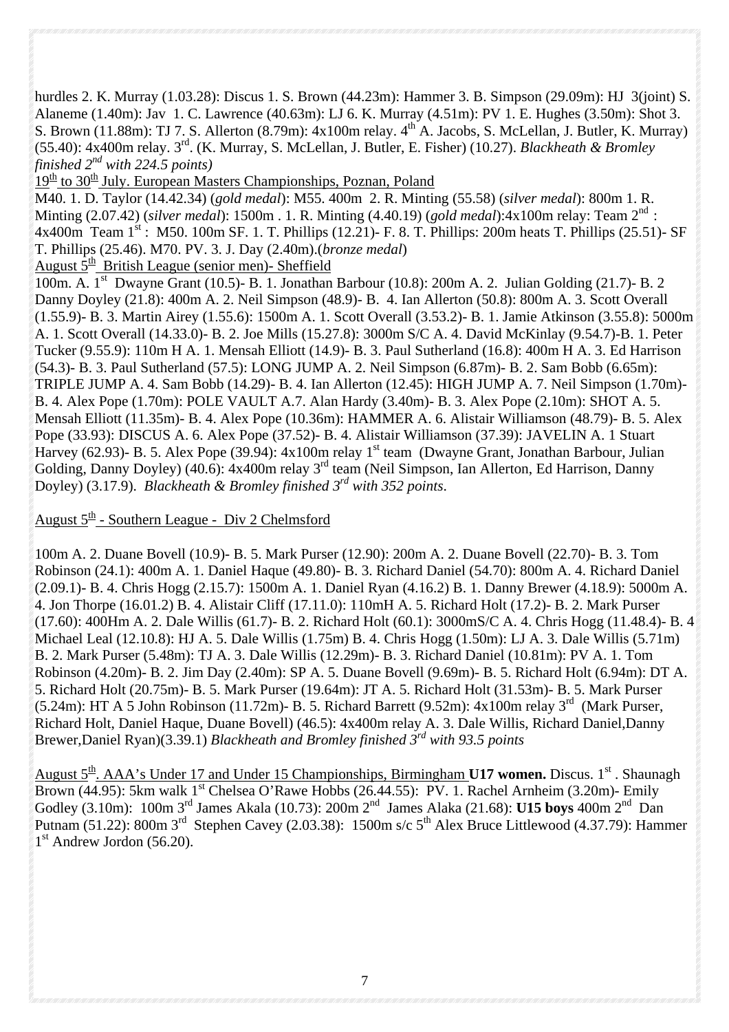hurdles 2. K. Murray (1.03.28): Discus 1. S. Brown (44.23m): Hammer 3. B. Simpson (29.09m): HJ 3(joint) S. Alaneme (1.40m): Jav 1. C. Lawrence (40.63m): LJ 6. K. Murray (4.51m): PV 1. E. Hughes (3.50m): Shot 3. S. Brown (11.88m): TJ 7. S. Allerton (8.79m):  $4x100m$  relay.  $4^{th}$  A. Jacobs, S. McLellan, J. Butler, K. Murray) (55.40): 4x400m relay. 3rd. (K. Murray, S. McLellan, J. Butler, E. Fisher) (10.27). *Blackheath & Bromley finished 2nd with 224.5 points)*

 $19<sup>th</sup>$  to 30<sup>th</sup> July. European Masters Championships, Poznan, Poland

M40. 1. D. Taylor (14.42.34) (*gold medal*): M55. 400m 2. R. Minting (55.58) (*silver medal*): 800m 1. R. Minting (2.07.42) (*silver medal*): 1500m . 1. R. Minting (4.40.19) (*gold medal*):4x100m relay: Team 2nd : 4x400m Team  $1^{st}$ : M50. 100m SF. 1. T. Phillips (12.21)- F. 8. T. Phillips: 200m heats T. Phillips (25.51)- SF T. Phillips (25.46). M70. PV. 3. J. Day (2.40m).(*bronze medal*)

August  $5<sup>th</sup>$  British League (senior men)- Sheffield

100m. A. 1st Dwayne Grant (10.5)- B. 1. Jonathan Barbour (10.8): 200m A. 2. Julian Golding (21.7)- B. 2 Danny Doyley (21.8): 400m A. 2. Neil Simpson (48.9)- B. 4. Ian Allerton (50.8): 800m A. 3. Scott Overall (1.55.9)- B. 3. Martin Airey (1.55.6): 1500m A. 1. Scott Overall (3.53.2)- B. 1. Jamie Atkinson (3.55.8): 5000m A. 1. Scott Overall (14.33.0)- B. 2. Joe Mills (15.27.8): 3000m S/C A. 4. David McKinlay (9.54.7)-B. 1. Peter Tucker (9.55.9): 110m H A. 1. Mensah Elliott (14.9)- B. 3. Paul Sutherland (16.8): 400m H A. 3. Ed Harrison (54.3)- B. 3. Paul Sutherland (57.5): LONG JUMP A. 2. Neil Simpson (6.87m)- B. 2. Sam Bobb (6.65m): TRIPLE JUMP A. 4. Sam Bobb (14.29)- B. 4. Ian Allerton (12.45): HIGH JUMP A. 7. Neil Simpson (1.70m)- B. 4. Alex Pope (1.70m): POLE VAULT A.7. Alan Hardy (3.40m)- B. 3. Alex Pope (2.10m): SHOT A. 5. Mensah Elliott (11.35m)- B. 4. Alex Pope (10.36m): HAMMER A. 6. Alistair Williamson (48.79)- B. 5. Alex Pope (33.93): DISCUS A. 6. Alex Pope (37.52)- B. 4. Alistair Williamson (37.39): JAVELIN A. 1 Stuart Harvey (62.93)- B. 5. Alex Pope (39.94): 4x100m relay 1<sup>st</sup> team (Dwayne Grant, Jonathan Barbour, Julian Golding, Danny Doyley) (40.6): 4x400m relay 3<sup>rd</sup> team (Neil Simpson, Ian Allerton, Ed Harrison, Danny Doyley) (3.17.9). *Blackheath & Bromley finished 3rd with 352 points*.

August  $5^{\text{th}}$  - Southern League - Div 2 Chelmsford

100m A. 2. Duane Bovell (10.9)- B. 5. Mark Purser (12.90): 200m A. 2. Duane Bovell (22.70)- B. 3. Tom Robinson (24.1): 400m A. 1. Daniel Haque (49.80)- B. 3. Richard Daniel (54.70): 800m A. 4. Richard Daniel (2.09.1)- B. 4. Chris Hogg (2.15.7): 1500m A. 1. Daniel Ryan (4.16.2) B. 1. Danny Brewer (4.18.9): 5000m A. 4. Jon Thorpe (16.01.2) B. 4. Alistair Cliff (17.11.0): 110mH A. 5. Richard Holt (17.2)- B. 2. Mark Purser (17.60): 400Hm A. 2. Dale Willis (61.7)- B. 2. Richard Holt (60.1): 3000mS/C A. 4. Chris Hogg (11.48.4)- B. 4 Michael Leal (12.10.8): HJ A. 5. Dale Willis (1.75m) B. 4. Chris Hogg (1.50m): LJ A. 3. Dale Willis (5.71m) B. 2. Mark Purser (5.48m): TJ A. 3. Dale Willis (12.29m)- B. 3. Richard Daniel (10.81m): PV A. 1. Tom Robinson (4.20m)- B. 2. Jim Day (2.40m): SP A. 5. Duane Bovell (9.69m)- B. 5. Richard Holt (6.94m): DT A. 5. Richard Holt (20.75m)- B. 5. Mark Purser (19.64m): JT A. 5. Richard Holt (31.53m)- B. 5. Mark Purser  $(5.24m)$ : HT A 5 John Robinson (11.72m)- B. 5. Richard Barrett (9.52m): 4x100m relay 3<sup>rd</sup> (Mark Purser, Richard Holt, Daniel Haque, Duane Bovell) (46.5): 4x400m relay A. 3. Dale Willis, Richard Daniel,Danny Brewer,Daniel Ryan)(3.39.1) *Blackheath and Bromley finished 3rd with 93.5 points*

August 5<sup>th</sup>. AAA's Under 17 and Under 15 Championships, Birmingham **U17 women.** Discus. 1<sup>st</sup>. Shaunagh Brown (44.95): 5km walk 1<sup>st</sup> Chelsea O'Rawe Hobbs (26.44.55): PV. 1. Rachel Arnheim (3.20m)- Emily Godley (3.10m): 100m 3rd James Akala (10.73): 200m 2nd James Alaka (21.68): **U15 boys** 400m 2nd Dan Putnam  $(51.22)$ : 800m 3<sup>rd</sup> Stephen Cavey (2.03.38): 1500m s/c 5<sup>th</sup> Alex Bruce Littlewood (4.37.79): Hammer  $1<sup>st</sup>$  Andrew Jordon (56.20).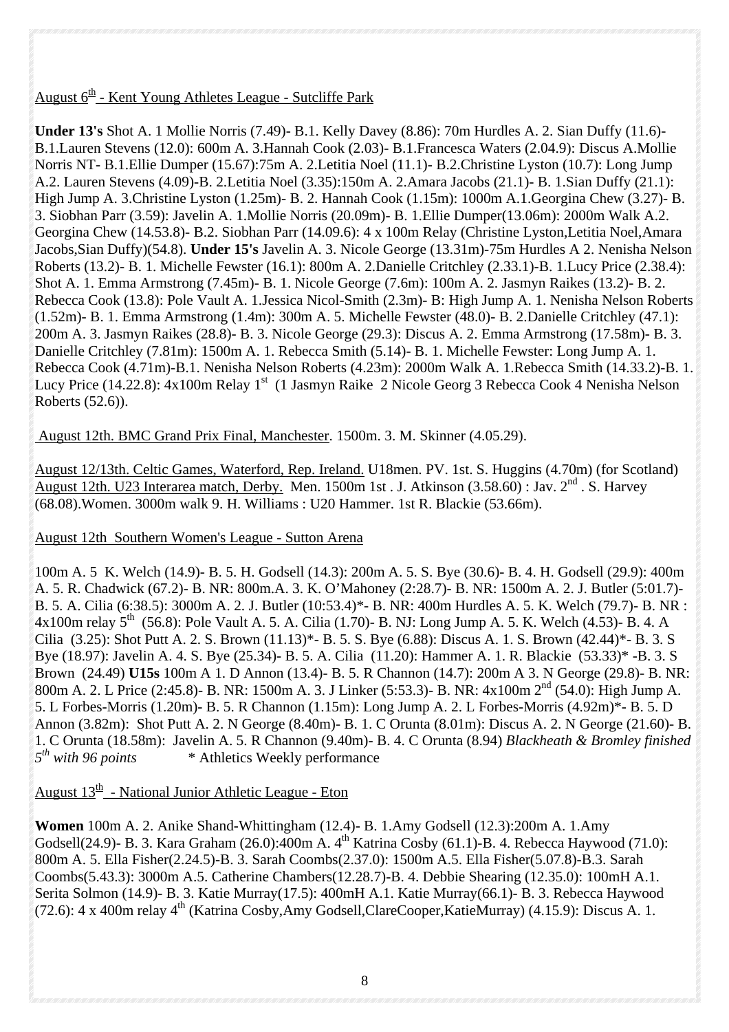## August  $6<sup>th</sup>$  - Kent Young Athletes League - Sutcliffe Park

**Under 13's** Shot A. 1 Mollie Norris (7.49)- B.1. Kelly Davey (8.86): 70m Hurdles A. 2. Sian Duffy (11.6)- B.1.Lauren Stevens (12.0): 600m A. 3.Hannah Cook (2.03)- B.1.Francesca Waters (2.04.9): Discus A.Mollie Norris NT- B.1.Ellie Dumper (15.67):75m A. 2.Letitia Noel (11.1)- B.2.Christine Lyston (10.7): Long Jump A.2. Lauren Stevens (4.09)-B. 2.Letitia Noel (3.35):150m A. 2.Amara Jacobs (21.1)- B. 1.Sian Duffy (21.1): High Jump A. 3.Christine Lyston (1.25m)- B. 2. Hannah Cook (1.15m): 1000m A.1.Georgina Chew (3.27)- B. 3. Siobhan Parr (3.59): Javelin A. 1.Mollie Norris (20.09m)- B. 1.Ellie Dumper(13.06m): 2000m Walk A.2. Georgina Chew (14.53.8)- B.2. Siobhan Parr (14.09.6): 4 x 100m Relay (Christine Lyston,Letitia Noel,Amara Jacobs,Sian Duffy)(54.8). **Under 15's** Javelin A. 3. Nicole George (13.31m)-75m Hurdles A 2. Nenisha Nelson Roberts (13.2)- B. 1. Michelle Fewster (16.1): 800m A. 2.Danielle Critchley (2.33.1)-B. 1.Lucy Price (2.38.4): Shot A. 1. Emma Armstrong (7.45m)- B. 1. Nicole George (7.6m): 100m A. 2. Jasmyn Raikes (13.2)- B. 2. Rebecca Cook (13.8): Pole Vault A. 1.Jessica Nicol-Smith (2.3m)- B: High Jump A. 1. Nenisha Nelson Roberts (1.52m)- B. 1. Emma Armstrong (1.4m): 300m A. 5. Michelle Fewster (48.0)- B. 2.Danielle Critchley (47.1): 200m A. 3. Jasmyn Raikes (28.8)- B. 3. Nicole George (29.3): Discus A. 2. Emma Armstrong (17.58m)- B. 3. Danielle Critchley (7.81m): 1500m A. 1. Rebecca Smith (5.14)- B. 1. Michelle Fewster: Long Jump A. 1. Rebecca Cook (4.71m)-B.1. Nenisha Nelson Roberts (4.23m): 2000m Walk A. 1.Rebecca Smith (14.33.2)-B. 1. Lucy Price (14.22.8):  $4x100m$  Relay 1<sup>st</sup> (1 Jasmyn Raike 2 Nicole Georg 3 Rebecca Cook 4 Nenisha Nelson Roberts (52.6)).

## August 12th. BMC Grand Prix Final, Manchester. 1500m. 3. M. Skinner (4.05.29).

August 12/13th. Celtic Games, Waterford, Rep. Ireland. U18men. PV. 1st. S. Huggins (4.70m) (for Scotland) August 12th. U23 Interarea match, Derby. Men. 1500m 1st . J. Atkinson (3.58.60) : Jav. 2nd . S. Harvey (68.08).Women. 3000m walk 9. H. Williams : U20 Hammer. 1st R. Blackie (53.66m).

### August 12th Southern Women's League - Sutton Arena

100m A. 5 K. Welch (14.9)- B. 5. H. Godsell (14.3): 200m A. 5. S. Bye (30.6)- B. 4. H. Godsell (29.9): 400m A. 5. R. Chadwick (67.2)- B. NR: 800m.A. 3. K. O'Mahoney (2:28.7)- B. NR: 1500m A. 2. J. Butler (5:01.7)- B. 5. A. Cilia (6:38.5): 3000m A. 2. J. Butler (10:53.4)\*- B. NR: 400m Hurdles A. 5. K. Welch (79.7)- B. NR : 4x100m relay  $5^{th}$  (56.8): Pole Vault A. 5. A. Cilia (1.70)- B. NJ: Long Jump A. 5. K. Welch (4.53)- B. 4. A Cilia (3.25): Shot Putt A. 2. S. Brown (11.13)\*- B. 5. S. Bye (6.88): Discus A. 1. S. Brown (42.44)\*- B. 3. S Bye (18.97): Javelin A. 4. S. Bye (25.34)- B. 5. A. Cilia (11.20): Hammer A. 1. R. Blackie (53.33)\* -B. 3. S Brown (24.49) **U15s** 100m A 1. D Annon (13.4)- B. 5. R Channon (14.7): 200m A 3. N George (29.8)- B. NR: 800m A. 2. L Price (2:45.8)- B. NR: 1500m A. 3. J Linker (5:53.3)- B. NR: 4x100m  $2<sup>nd</sup>$  (54.0): High Jump A. 5. L Forbes-Morris (1.20m)- B. 5. R Channon (1.15m): Long Jump A. 2. L Forbes-Morris (4.92m)\*- B. 5. D Annon (3.82m): Shot Putt A. 2. N George (8.40m)- B. 1. C Orunta (8.01m): Discus A. 2. N George (21.60)- B. 1. C Orunta (18.58m): Javelin A. 5. R Channon (9.40m)- B. 4. C Orunta (8.94) *Blackheath & Bromley finished 5th with 96 points* \* Athletics Weekly performance

## August  $13<sup>th</sup>$  - National Junior Athletic League - Eton

**Women** 100m A. 2. Anike Shand-Whittingham (12.4)- B. 1.Amy Godsell (12.3):200m A. 1.Amy Godsell(24.9)- B. 3. Kara Graham (26.0): $\overline{400m}$  A.  $4^{\text{th}}$  Katrina Cosby (61.1)-B. 4. Rebecca Haywood (71.0): 800m A. 5. Ella Fisher(2.24.5)-B. 3. Sarah Coombs(2.37.0): 1500m A.5. Ella Fisher(5.07.8)-B.3. Sarah Coombs(5.43.3): 3000m A.5. Catherine Chambers(12.28.7)-B. 4. Debbie Shearing (12.35.0): 100mH A.1. Serita Solmon (14.9)- B. 3. Katie Murray(17.5): 400mH A.1. Katie Murray(66.1)- B. 3. Rebecca Haywood  $(72.6)$ : 4 x 400m relay 4<sup>th</sup> (Katrina Cosby,Amy Godsell,ClareCooper,KatieMurray) (4.15.9): Discus A. 1.